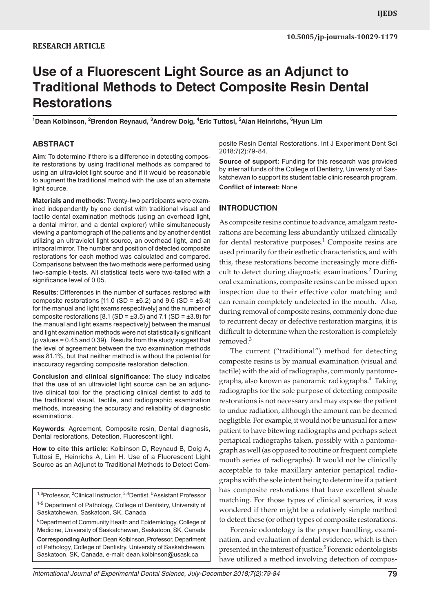# **Use of a Fluorescent Light Source as an Adjunct to Traditional Methods to Detect Composite Resin Dental Restorations**

**1 Dean Kolbinson, 2 Brendon Reynaud, 3 Andrew Doig, 4 Eric Tuttosi, 5 Alan Heinrichs, 6 Hyun Lim**

## **ABSTRACT**

**Aim**: To determine if there is a difference in detecting composite restorations by using traditional methods as compared to using an ultraviolet light source and if it would be reasonable to augment the traditional method with the use of an alternate light source.

**Materials and methods**: Twenty-two participants were examined independently by one dentist with traditional visual and tactile dental examination methods (using an overhead light, a dental mirror, and a dental explorer) while simultaneously viewing a pantomograph of the patients and by another dentist utilizing an ultraviolet light source, an overhead light, and an intraoral mirror. The number and position of detected composite restorations for each method was calculated and compared. Comparisons between the two methods were performed using two-sample t-tests. All statistical tests were two-tailed with a significance level of 0.05.

**Results**: Differences in the number of surfaces restored with composite restorations  $[11.0 (SD = ±6.2)$  and  $9.6 (SD = ±6.4)$ for the manual and light exams respectively] and the number of composite restorations  $[8.1 (SD = ±3.5)$  and 7.1  $(SD = ±3.8)$  for the manual and light exams respectively] between the manual and light examination methods were not statistically significant (*p* values = 0.45 and 0.39). Results from the study suggest that the level of agreement between the two examination methods was 81.1%, but that neither method is without the potential for inaccuracy regarding composite restoration detection.

**Conclusion and clinical significance**: The study indicates that the use of an ultraviolet light source can be an adjunctive clinical tool for the practicing clinical dentist to add to the traditional visual, tactile, and radiographic examination methods, increasing the accuracy and reliability of diagnostic examinations.

**Keywords**: Agreement, Composite resin, Dental diagnosis, Dental restorations, Detection, Fluorescent light.

**How to cite this article:** Kolbinson D, Reynaud B, Doig A, Tuttosi E, Heinrichs A, Lim H. Use of a Fluorescent Light Source as an Adjunct to Traditional Methods to Detect Com-

1-5 Department of Pathology, College of Dentistry, University of Saskatchewan, Saskatoon, SK, Canada

6 Department of Community Health and Epidemiology, College of Medicine, University of Saskatchewan, Saskatoon, SK, Canada **Corresponding Author:** Dean Kolbinson, Professor, Department of Pathology, College of Dentistry, University of Saskatchewan, Saskatoon, SK, Canada, e-mail: dean.kolbinson@usask.ca

posite Resin Dental Restorations. Int J Experiment Dent Sci 2018;7(2):79-84.

**Source of support:** Funding for this research was provided by internal funds of the College of Dentistry, University of Saskatchewan to support its student table clinic research program.

**Conflict of interest:** None

## **INTRODUCTION**

As composite resins continue to advance, amalgam restorations are becoming less abundantly utilized clinically for dental restorative purposes.<sup>1</sup> Composite resins are used primarily for their esthetic characteristics, and with this, these restorations become increasingly more difficult to detect during diagnostic examinations.<sup>2</sup> During oral examinations, composite resins can be missed upon inspection due to their effective color matching and can remain completely undetected in the mouth. Also, during removal of composite resins, commonly done due to recurrent decay or defective restoration margins, it is difficult to determine when the restoration is completely removed.<sup>3</sup>

The current ("traditional") method for detecting composite resins is by manual examination (visual and tactile) with the aid of radiographs, commonly pantomographs, also known as panoramic radiographs.<sup>4</sup> Taking radiographs for the sole purpose of detecting composite restorations is not necessary and may expose the patient to undue radiation, although the amount can be deemed negligible. For example, it would not be unusual for a new patient to have bitewing radiographs and perhaps select periapical radiographs taken, possibly with a pantomograph as well (as opposed to routine or frequent complete mouth series of radiographs). It would not be clinically acceptable to take maxillary anterior periapical radiographs with the sole intent being to determine if a patient has composite restorations that have excellent shade matching. For those types of clinical scenarios, it was wondered if there might be a relatively simple method to detect these (or other) types of composite restorations.

Forensic odontology is the proper handling, examination, and evaluation of dental evidence, which is then presented in the interest of justice.<sup>5</sup> Forensic odontologists have utilized a method involving detection of compos-

<sup>&</sup>lt;sup>1,6</sup>Professor, <sup>2</sup>Clinical Instructor, <sup>3,4</sup>Dentist, <sup>5</sup>Assistant Professor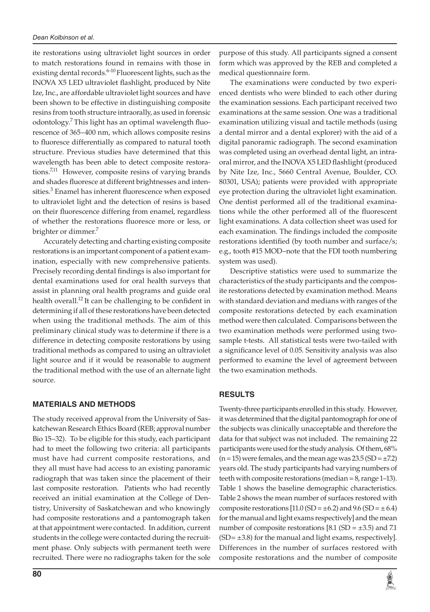ite restorations using ultraviolet light sources in order to match restorations found in remains with those in existing dental records.<sup>6-10</sup> Fluorescent lights, such as the INOVA X5 LED ultraviolet flashlight, produced by Nite Ize, Inc., are affordable ultraviolet light sources and have been shown to be effective in distinguishing composite resins from tooth structure intraorally, as used in forensic odontology.<sup>7</sup> This light has an optimal wavelength fluorescence of 365–400 nm, which allows composite resins to fluoresce differentially as compared to natural tooth structure. Previous studies have determined that this wavelength has been able to detect composite restorations.<sup>7,11</sup> However, composite resins of varying brands and shades fluoresce at different brightnesses and intensities.<sup>3</sup> Enamel has inherent fluorescence when exposed to ultraviolet light and the detection of resins is based on their fluorescence differing from enamel, regardless of whether the restorations fluoresce more or less, or brighter or dimmer.<sup>7</sup>

Accurately detecting and charting existing composite restorations is an important component of a patient examination, especially with new comprehensive patients. Precisely recording dental findings is also important for dental examinations used for oral health surveys that assist in planning oral health programs and guide oral health overall.<sup>12</sup> It can be challenging to be confident in determining if all of these restorations have been detected when using the traditional methods. The aim of this preliminary clinical study was to determine if there is a difference in detecting composite restorations by using traditional methods as compared to using an ultraviolet light source and if it would be reasonable to augment the traditional method with the use of an alternate light source.

## **MATERIALS AND METHODS**

The study received approval from the University of Saskatchewan Research Ethics Board (REB; approval number Bio 15–32). To be eligible for this study, each participant had to meet the following two criteria: all participants must have had current composite restorations, and they all must have had access to an existing panoramic radiograph that was taken since the placement of their last composite restoration. Patients who had recently received an initial examination at the College of Dentistry, University of Saskatchewan and who knowingly had composite restorations and a pantomograph taken at that appointment were contacted. In addition, current students in the college were contacted during the recruitment phase. Only subjects with permanent teeth were recruited. There were no radiographs taken for the sole

The examinations were conducted by two experienced dentists who were blinded to each other during the examination sessions. Each participant received two examinations at the same session. One was a traditional examination utilizing visual and tactile methods (using a dental mirror and a dental explorer) with the aid of a digital panoramic radiograph. The second examination was completed using an overhead dental light, an intraoral mirror, and the INOVA X5 LED flashlight (produced by Nite Ize, Inc., 5660 Central Avenue, Boulder, CO. 80301, USA); patients were provided with appropriate eye protection during the ultraviolet light examination. One dentist performed all of the traditional examinations while the other performed all of the fluorescent light examinations. A data collection sheet was used for each examination. The findings included the composite restorations identified (by tooth number and surface/s; e.g., tooth #15 MOD–note that the FDI tooth numbering system was used).

Descriptive statistics were used to summarize the characteristics of the study participants and the composite restorations detected by examination method. Means with standard deviation and medians with ranges of the composite restorations detected by each examination method were then calculated. Comparisons between the two examination methods were performed using twosample t-tests. All statistical tests were two-tailed with a significance level of 0.05. Sensitivity analysis was also performed to examine the level of agreement between the two examination methods.

## **RESULTS**

Twenty-three participants enrolled in this study. However, it was determined that the digital pantomograph for one of the subjects was clinically unacceptable and therefore the data for that subject was not included. The remaining 22 participants were used for the study analysis. Of them, 68%  $(n = 15)$  were females, and the mean age was  $23.5$  (SD =  $\pm$ 7.2) years old. The study participants had varying numbers of teeth with composite restorations (median = 8, range 1–13). Table 1 shows the baseline demographic characteristics. Table 2 shows the mean number of surfaces restored with composite restorations  $[11.0 (SD = ±6.2)$  and  $9.6 (SD = ±6.4)$ for the manual and light exams respectively] and the mean number of composite restorations  $[8.1 (SD = ±3.5)$  and 7.1  $(SD = ±3.8)$  for the manual and light exams, respectively]. Differences in the number of surfaces restored with composite restorations and the number of composite

美国家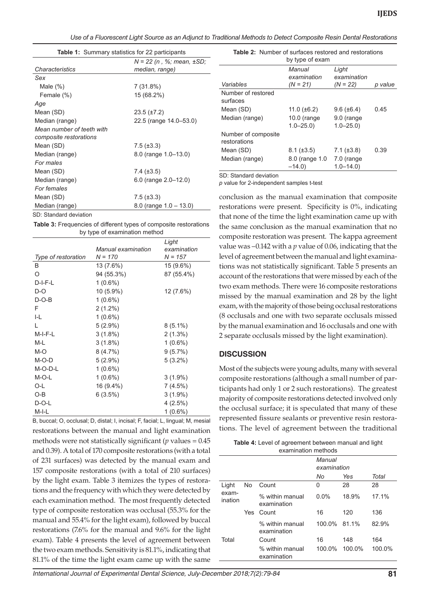*Use of a Fluorescent Light Source as an Adjunct to Traditional Methods to Detect Composite Resin Dental Restorations*

| <b>Table 1:</b> Summary statistics for 22 participants |                                                    |  |  |
|--------------------------------------------------------|----------------------------------------------------|--|--|
| Characteristics                                        | $N = 22$ (n, %; mean, $\pm SD$ ;<br>median, range) |  |  |
| Sex                                                    |                                                    |  |  |
| Male $(\%)$                                            | 7(31.8%)                                           |  |  |
| Female (%)                                             | 15 (68.2%)                                         |  |  |
| Age                                                    |                                                    |  |  |
| Mean (SD)                                              | $23.5 \ (\pm 7.2)$                                 |  |  |
| Median (range)                                         | 22.5 (range 14.0–53.0)                             |  |  |
| Mean number of teeth with                              |                                                    |  |  |
| composite restorations                                 |                                                    |  |  |
| Mean (SD)                                              | $7.5 \ (\pm 3.3)$                                  |  |  |
| Median (range)                                         | 8.0 (range 1.0–13.0)                               |  |  |
| For males                                              |                                                    |  |  |
| Mean (SD)                                              | $7.4 \ (\pm 3.5)$                                  |  |  |
| Median (range)                                         | $6.0$ (range $2.0 - 12.0$ )                        |  |  |
| For females                                            |                                                    |  |  |
| Mean (SD)                                              | $7.5 \ (\pm 3.3)$                                  |  |  |
| Median (range)                                         | $8.0$ (range $1.0 - 13.0$ )                        |  |  |

SD: Standard deviation

**Table 3:** Frequencies of different types of composite restorations by type of examination method

|                     | Manual examination | Light<br>examination |
|---------------------|--------------------|----------------------|
| Type of restoration | $N = 170$          | $N = 157$            |
| B                   | 13 (7.6%)          | 15 (9.6%)            |
| O                   | 94 (55.3%)         | 87 (55.4%)           |
| $D-I-F-L$           | $1(0.6\%)$         |                      |
| D-O                 | 10 (5.9%)          | 12 (7.6%)            |
| $D-O-B$             | $1(0.6\%)$         |                      |
| F                   | $2(1.2\%)$         |                      |
| I-L                 | $1(0.6\%)$         |                      |
| L                   | $5(2.9\%)$         | $8(5.1\%)$           |
| M-I-F-L             | $3(1.8\%)$         | $2(1.3\%)$           |
| $M-L$               | $3(1.8\%)$         | $1(0.6\%)$           |
| $M-O$               | $8(4.7\%)$         | $9(5.7\%)$           |
| M-O-D               | $5(2.9\%)$         | $5(3.2\%)$           |
| M-O-D-L             | $1(0.6\%)$         |                      |
| $M-O-L$             | $1(0.6\%)$         | $3(1.9\%)$           |
| O-L                 | 16 (9.4%)          | 7(4.5%)              |
| $O-B$               | 6(3.5%)            | $3(1.9\%)$           |
| $D$ -O-L            |                    | 4(2.5%)              |
| $M-I-L$             |                    | $1(0.6\%)$           |

restorations between the manual and light examination methods were not statistically significant ( $p$  values  $= 0.45$ and 0.39). A total of 170 composite restorations (with a total of 231 surfaces) was detected by the manual exam and 157 composite restorations (with a total of 210 surfaces) by the light exam. Table 3 itemizes the types of restorations and the frequency with which they were detected by each examination method. The most frequently detected type of composite restoration was occlusal (55.3% for the manual and 55.4% for the light exam), followed by buccal restorations (7.6% for the manual and 9.6% for the light exam). Table 4 presents the level of agreement between the two exam methods. Sensitivity is 81.1%, indicating that 81.1% of the time the light exam came up with the same B, buccal; O, occlusal; D, distal; I, incisal; F, facial; L, lingual; M, mesial

| <b>Table 2:</b> Number of surfaces restored and restorations<br>by type of exam |                                     |                                    |         |
|---------------------------------------------------------------------------------|-------------------------------------|------------------------------------|---------|
| Variables                                                                       | Manual<br>examination<br>$(N = 21)$ | Light<br>examination<br>$(N = 22)$ | p value |
| Number of restored<br>surfaces                                                  |                                     |                                    |         |
| Mean (SD)                                                                       | 11.0 $(\pm 6.2)$                    | $9.6 (\pm 6.4)$                    | 0.45    |
| Median (range)                                                                  | $10.0$ (range)<br>$1.0 - 25.0$      | 9.0 (range<br>$1.0 - 25.0$         |         |
| Number of composite<br>restorations                                             |                                     |                                    |         |
| Mean (SD)                                                                       | $8.1 (\pm 3.5)$                     | $7.1 (\pm 3.8)$                    | 0.39    |
| Median (range)                                                                  | 8.0 (range 1.0)<br>$-14.0$          | $7.0$ (range<br>$1.0 - 14.0$       |         |

SD: Standard deviation

*p* value for 2-independent samples t-test

conclusion as the manual examination that composite restorations were present. Specificity is 0%, indicating that none of the time the light examination came up with the same conclusion as the manual examination that no composite restoration was present. The kappa agreement value was –0.142 with a *p* value of 0.06, indicating that the level of agreement between the manual and light examinations was not statistically significant. Table 5 presents an account of the restorations that were missed by each of the two exam methods. There were 16 composite restorations missed by the manual examination and 28 by the light exam, with the majority of those being occlusal restorations (8 occlusals and one with two separate occlusals missed by the manual examination and 16 occlusals and one with 2 separate occlusals missed by the light examination).

## **DISCUSSION**

Most of the subjects were young adults, many with several composite restorations (although a small number of participants had only 1 or 2 such restorations). The greatest majority of composite restorations detected involved only the occlusal surface; it is speculated that many of these represented fissure sealants or preventive resin restorations. The level of agreement between the traditional

| <b>Table 4:</b> Level of agreement between manual and light |  |
|-------------------------------------------------------------|--|
| examination methods                                         |  |

| <u>CAULIII IUUULI TIICUTUUJ</u> |            |                                |                       |        |        |
|---------------------------------|------------|--------------------------------|-----------------------|--------|--------|
|                                 |            |                                | Manual<br>examination |        |        |
|                                 |            |                                | No                    | Yes    | Total  |
| Light                           | No         | Count                          | 0                     | 28     | 28     |
| exam-<br>ination                |            | % within manual<br>examination | $0.0\%$               | 18.9%  | 17.1%  |
|                                 | <b>Yes</b> | Count                          | 16                    | 120    | 136    |
|                                 |            | % within manual<br>examination | 100.0%                | 81.1%  | 82.9%  |
| Total                           |            | Count                          | 16                    | 148    | 164    |
|                                 |            | % within manual<br>examination | 100.0%                | 100.0% | 100.0% |

*International Journal of Experimental Dental Science, July-December 2018;7(2):79-84* **81**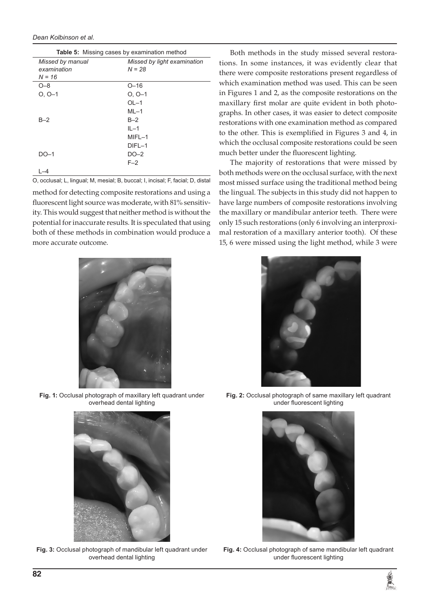#### *Dean Kolbinson et al.*

|  | <b>Table 5:</b> Missing cases by examination method |  |
|--|-----------------------------------------------------|--|
|  |                                                     |  |

| ັ                                           | ╯                                       |
|---------------------------------------------|-----------------------------------------|
| Missed by manual<br>examination<br>$N = 16$ | Missed by light examination<br>$N = 28$ |
| $O - 8$                                     | $O - 16$                                |
| $O, O - 1$                                  | $O, O - 1$                              |
|                                             | $OL-1$                                  |
|                                             | $ML-1$                                  |
| $B-2$                                       | $B-2$                                   |
|                                             | $IL-1$                                  |
|                                             | MIFL-1                                  |
|                                             | DIFL-1                                  |
| $DO-1$                                      | $DO-2$                                  |
|                                             | $F-2$                                   |
|                                             |                                         |

O, occlusal; L, lingual; M, mesial; B, buccal; I, incisal; F, facial; D, distal

method for detecting composite restorations and using a fluorescent light source was moderate, with 81% sensitivity. This would suggest that neither method is without the potential for inaccurate results. It is speculated that using both of these methods in combination would produce a more accurate outcome.



**Fig. 1:** Occlusal photograph of maxillary left quadrant under overhead dental lighting



**Fig. 3:** Occlusal photograph of mandibular left quadrant under overhead dental lighting

Both methods in the study missed several restorations. In some instances, it was evidently clear that there were composite restorations present regardless of which examination method was used. This can be seen in Figures 1 and 2, as the composite restorations on the maxillary first molar are quite evident in both photographs. In other cases, it was easier to detect composite restorations with one examination method as compared to the other. This is exemplified in Figures 3 and 4, in which the occlusal composite restorations could be seen much better under the fluorescent lighting.

The majority of restorations that were missed by both methods were on the occlusal surface, with the next most missed surface using the traditional method being the lingual. The subjects in this study did not happen to have large numbers of composite restorations involving the maxillary or mandibular anterior teeth. There were only 15 such restorations (only 6 involving an interproximal restoration of a maxillary anterior tooth). Of these 15, 6 were missed using the light method, while 3 were



**Fig. 2:** Occlusal photograph of same maxillary left quadrant under fluorescent lighting



**Fig. 4:** Occlusal photograph of same mandibular left quadrant under fluorescent lighting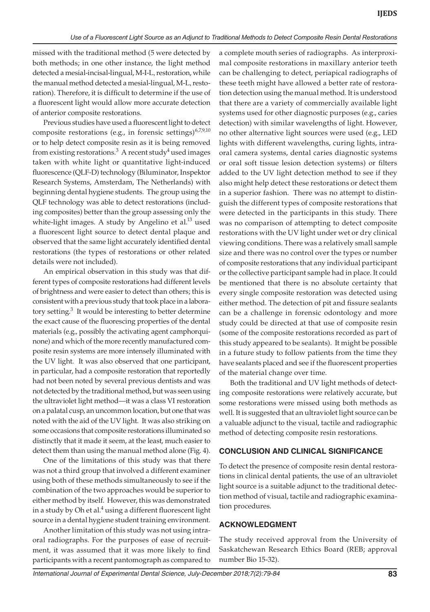missed with the traditional method (5 were detected by both methods; in one other instance, the light method detected a mesial-incisal-lingual, M-I-L, restoration, while the manual method detected a mesial-lingual, M-L, restoration). Therefore, it is difficult to determine if the use of a fluorescent light would allow more accurate detection of anterior composite restorations.

Previous studies have used a fluorescent light to detect composite restorations (e.g., in forensic settings) $6,7,9,10$ or to help detect composite resin as it is being removed from existing restorations. $^3$  A recent study<sup>4</sup> used images taken with white light or quantitative light-induced fluorescence (QLF-D) technology (Biluminator, Inspektor Research Systems, Amsterdam, The Netherlands) with beginning dental hygiene students. The group using the QLF technology was able to detect restorations (including composites) better than the group assessing only the white-light images. A study by Angelino et al. $13$  used a fluorescent light source to detect dental plaque and observed that the same light accurately identified dental restorations (the types of restorations or other related details were not included).

An empirical observation in this study was that different types of composite restorations had different levels of brightness and were easier to detect than others; this is consistent with a previous study that took place in a laboratory setting.<sup>3</sup> It would be interesting to better determine the exact cause of the fluorescing properties of the dental materials (e.g., possibly the activating agent camphorquinone) and which of the more recently manufactured composite resin systems are more intensely illuminated with the UV light. It was also observed that one participant, in particular, had a composite restoration that reportedly had not been noted by several previous dentists and was not detected by the traditional method, but was seen using the ultraviolet light method—it was a class VI restoration on a palatal cusp, an uncommon location, but one that was noted with the aid of the UV light. It was also striking on some occasions that composite restorations illuminated so distinctly that it made it seem, at the least, much easier to detect them than using the manual method alone (Fig. 4).

One of the limitations of this study was that there was not a third group that involved a different examiner using both of these methods simultaneously to see if the combination of the two approaches would be superior to either method by itself. However, this was demonstrated in a study by Oh et al. $^4$  using a different fluorescent light source in a dental hygiene student training environment.

Another limitation of this study was not using intraoral radiographs. For the purposes of ease of recruitment, it was assumed that it was more likely to find participants with a recent pantomograph as compared to a complete mouth series of radiographs. As interproximal composite restorations in maxillary anterior teeth can be challenging to detect, periapical radiographs of these teeth might have allowed a better rate of restoration detection using the manual method. It is understood that there are a variety of commercially available light systems used for other diagnostic purposes (e.g., caries detection) with similar wavelengths of light. However, no other alternative light sources were used (e.g., LED lights with different wavelengths, curing lights, intraoral camera systems, dental caries diagnostic systems or oral soft tissue lesion detection systems) or filters added to the UV light detection method to see if they also might help detect these restorations or detect them in a superior fashion. There was no attempt to distinguish the different types of composite restorations that were detected in the participants in this study. There was no comparison of attempting to detect composite restorations with the UV light under wet or dry clinical viewing conditions. There was a relatively small sample size and there was no control over the types or number of composite restorations that any individual participant or the collective participant sample had in place. It could be mentioned that there is no absolute certainty that every single composite restoration was detected using either method. The detection of pit and fissure sealants can be a challenge in forensic odontology and more study could be directed at that use of composite resin (some of the composite restorations recorded as part of this study appeared to be sealants). It might be possible in a future study to follow patients from the time they have sealants placed and see if the fluorescent properties of the material change over time.

Both the traditional and UV light methods of detecting composite restorations were relatively accurate, but some restorations were missed using both methods as well. It is suggested that an ultraviolet light source can be a valuable adjunct to the visual, tactile and radiographic method of detecting composite resin restorations.

#### **CONCLUSION AND CLINICAL SIGNIFICANCE**

To detect the presence of composite resin dental restorations in clinical dental patients, the use of an ultraviolet light source is a suitable adjunct to the traditional detection method of visual, tactile and radiographic examination procedures.

#### **ACKNOWLEDGMENT**

The study received approval from the University of Saskatchewan Research Ethics Board (REB; approval number Bio 15-32).